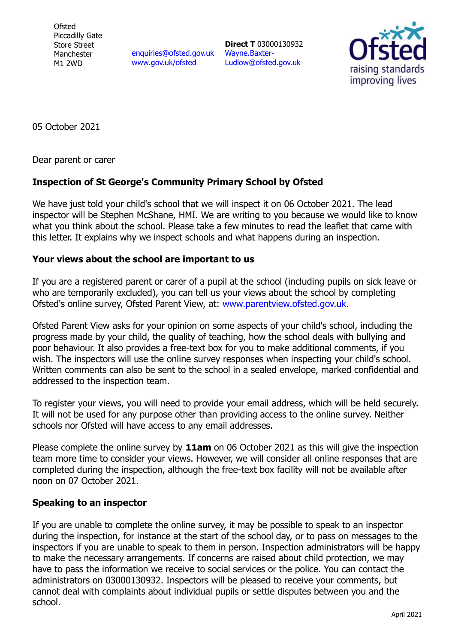**Ofsted** Piccadilly Gate Store Street Manchester M1 2WD

[enquiries@ofsted.gov.uk](mailto:enquiries@ofsted.gov.uk) [www.gov.uk/ofsted](http://www.gov.uk/ofsted)

**Direct T** 03000130932 [Wayne.Baxter-](mailto:Wayne.Baxter-Ludlow@ofsted.gov.uk)[Ludlow@ofsted.gov.uk](mailto:Wayne.Baxter-Ludlow@ofsted.gov.uk)



05 October 2021

Dear parent or carer

## **Inspection of St George's Community Primary School by Ofsted**

We have just told your child's school that we will inspect it on 06 October 2021. The lead inspector will be Stephen McShane, HMI. We are writing to you because we would like to know what you think about the school. Please take a few minutes to read the leaflet that came with this letter. It explains why we inspect schools and what happens during an inspection.

## **Your views about the school are important to us**

If you are a registered parent or carer of a pupil at the school (including pupils on sick leave or who are temporarily excluded), you can tell us your views about the school by completing Ofsted's online survey, Ofsted Parent View, at: [www.parentview.ofsted.gov.uk.](http://www.parentview.ofsted.gov.uk/)

Ofsted Parent View asks for your opinion on some aspects of your child's school, including the progress made by your child, the quality of teaching, how the school deals with bullying and poor behaviour. It also provides a free-text box for you to make additional comments, if you wish. The inspectors will use the online survey responses when inspecting your child's school. Written comments can also be sent to the school in a sealed envelope, marked confidential and addressed to the inspection team.

To register your views, you will need to provide your email address, which will be held securely. It will not be used for any purpose other than providing access to the online survey. Neither schools nor Ofsted will have access to any email addresses.

Please complete the online survey by **11am** on 06 October 2021 as this will give the inspection team more time to consider your views. However, we will consider all online responses that are completed during the inspection, although the free-text box facility will not be available after noon on 07 October 2021.

## **Speaking to an inspector**

If you are unable to complete the online survey, it may be possible to speak to an inspector during the inspection, for instance at the start of the school day, or to pass on messages to the inspectors if you are unable to speak to them in person. Inspection administrators will be happy to make the necessary arrangements. If concerns are raised about child protection, we may have to pass the information we receive to social services or the police. You can contact the administrators on 03000130932. Inspectors will be pleased to receive your comments, but cannot deal with complaints about individual pupils or settle disputes between you and the school.